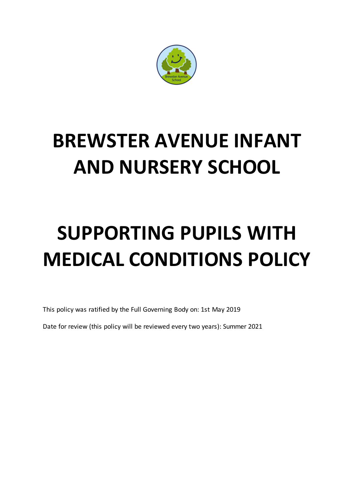

## **BREWSTER AVENUE INFANT AND NURSERY SCHOOL**

# **SUPPORTING PUPILS WITH MEDICAL CONDITIONS POLICY**

This policy was ratified by the Full Governing Body on: 1st May 2019

Date for review (this policy will be reviewed every two years): Summer 2021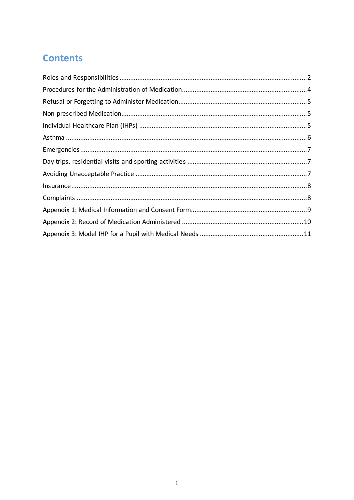## **Contents**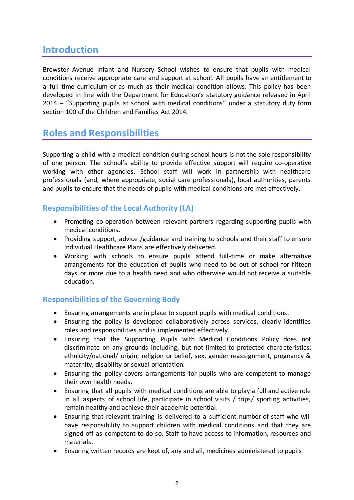## **Introduction**

Brewster Avenue Infant and Nursery School wishes to ensure that pupils with medical conditions receive appropriate care and support at school. All pupils have an entitlement to a full time curriculum or as much as their medical condition allows. This policy has been developed in line with the Department for Education's statutory guidance released in April 2014 – "Supporting pupils at school with medical conditions" under a statutory duty form section 100 of the Children and Families Act 2014.

## <span id="page-2-0"></span>**Roles and Responsibilities**

Supporting a child with a medical condition during school hours is not the sole responsibility of one person. The school's ability to provide effective support will require co-operative working with other agencies. School staff will work in partnership with healthcare professionals (and, where appropriate, social care professionals), local authorities, parents and pupils to ensure that the needs of pupils with medical conditions are met effectively.

#### **Responsibilities of the Local Authority (LA)**

- Promoting co-operation between relevant partners regarding supporting pupils with medical conditions.
- Providing support, advice /guidance and training to schools and their staff to ensure Individual Healthcare Plans are effectively delivered.
- Working with schools to ensure pupils attend full-time or make alternative arrangements for the education of pupils who need to be out of school for fifteen days or more due to a health need and who otherwise would not receive a suitable education.

#### **Responsibilities of the Governing Body**

- Ensuring arrangements are in place to support pupils with medical conditions.
- Ensuring the policy is developed collaboratively across services, clearly identifies roles and responsibilities and is implemented effectively.
- Ensuring that the Supporting Pupils with Medical Conditions Policy does not discriminate on any grounds including, but not limited to protected characteristics: ethnicity/national/ origin, religion or belief, sex, gender reassignment, pregnancy & maternity, disability or sexual orientation.
- Ensuring the policy covers arrangements for pupils who are competent to manage their own health needs.
- Ensuring that all pupils with medical conditions are able to play a full and active role in all aspects of school life, participate in school visits / trips/ sporting activities, remain healthy and achieve their academic potential.
- Ensuring that relevant training is delivered to a sufficient number of staff who will have responsibility to support children with medical conditions and that they are signed off as competent to do so. Staff to have access to information, resources and materials.
- Ensuring written records are kept of, any and all, medicines administered to pupils.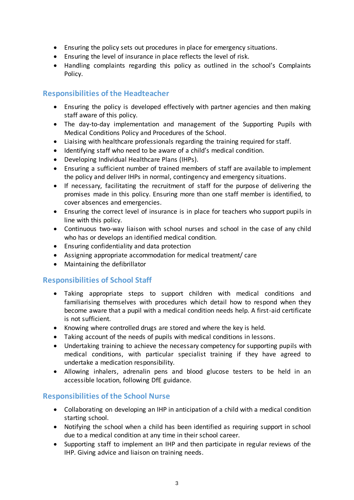- Ensuring the policy sets out procedures in place for emergency situations.
- Ensuring the level of insurance in place reflects the level of risk.
- Handling complaints regarding this policy as outlined in the school's Complaints Policy.

#### **Responsibilities of the Headteacher**

- Ensuring the policy is developed effectively with partner agencies and then making staff aware of this policy.
- The day-to-day implementation and management of the Supporting Pupils with Medical Conditions Policy and Procedures of the School.
- Liaising with healthcare professionals regarding the training required for staff.
- Identifying staff who need to be aware of a child's medical condition.
- Developing Individual Healthcare Plans (IHPs).
- Ensuring a sufficient number of trained members of staff are available to implement the policy and deliver IHPs in normal, contingency and emergency situations.
- If necessary, facilitating the recruitment of staff for the purpose of delivering the promises made in this policy. Ensuring more than one staff member is identified, to cover absences and emergencies.
- Ensuring the correct level of insurance is in place for teachers who support pupils in line with this policy.
- Continuous two-way liaison with school nurses and school in the case of any child who has or develops an identified medical condition.
- Ensuring confidentiality and data protection
- Assigning appropriate accommodation for medical treatment/ care
- Maintaining the defibrillator

#### **Responsibilities of School Staff**

- Taking appropriate steps to support children with medical conditions and familiarising themselves with procedures which detail how to respond when they become aware that a pupil with a medical condition needs help. A first-aid certificate is not sufficient.
- Knowing where controlled drugs are stored and where the key is held.
- Taking account of the needs of pupils with medical conditions in lessons.
- Undertaking training to achieve the necessary competency for supporting pupils with medical conditions, with particular specialist training if they have agreed to undertake a medication responsibility.
- Allowing inhalers, adrenalin pens and blood glucose testers to be held in an accessible location, following DfE guidance.

#### **Responsibilities of the School Nurse**

- Collaborating on developing an IHP in anticipation of a child with a medical condition starting school.
- Notifying the school when a child has been identified as requiring support in school due to a medical condition at any time in their school career.
- Supporting staff to implement an IHP and then participate in regular reviews of the IHP. Giving advice and liaison on training needs.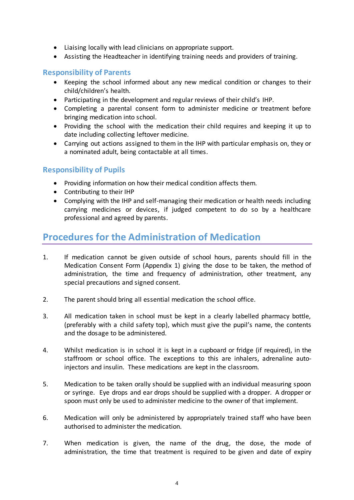- Liaising locally with lead clinicians on appropriate support.
- Assisting the Headteacher in identifying training needs and providers of training.

#### **Responsibility of Parents**

- Keeping the school informed about any new medical condition or changes to their child/children's health.
- Participating in the development and regular reviews of their child's IHP.
- Completing a parental consent form to administer medicine or treatment before bringing medication into school.
- Providing the school with the medication their child requires and keeping it up to date including collecting leftover medicine.
- Carrying out actions assigned to them in the IHP with particular emphasis on, they or a nominated adult, being contactable at all times.

#### **Responsibility of Pupils**

- Providing information on how their medical condition affects them.
- Contributing to their IHP
- Complying with the IHP and self-managing their medication or health needs including carrying medicines or devices, if judged competent to do so by a healthcare professional and agreed by parents.

## <span id="page-4-0"></span>**Procedures for the Administration of Medication**

- 1. If medication cannot be given outside of school hours, parents should fill in the Medication Consent Form (Appendix 1) giving the dose to be taken, the method of administration, the time and frequency of administration, other treatment, any special precautions and signed consent.
- 2. The parent should bring all essential medication the school office.
- 3. All medication taken in school must be kept in a clearly labelled pharmacy bottle, (preferably with a child safety top), which must give the pupil's name, the contents and the dosage to be administered.
- 4. Whilst medication is in school it is kept in a cupboard or fridge (if required), in the staffroom or school office. The exceptions to this are inhalers, adrenaline autoinjectors and insulin. These medications are kept in the classroom.
- 5. Medication to be taken orally should be supplied with an individual measuring spoon or syringe. Eye drops and ear drops should be supplied with a dropper. A dropper or spoon must only be used to administer medicine to the owner of that implement.
- 6. Medication will only be administered by appropriately trained staff who have been authorised to administer the medication.
- 7. When medication is given, the name of the drug, the dose, the mode of administration, the time that treatment is required to be given and date of expiry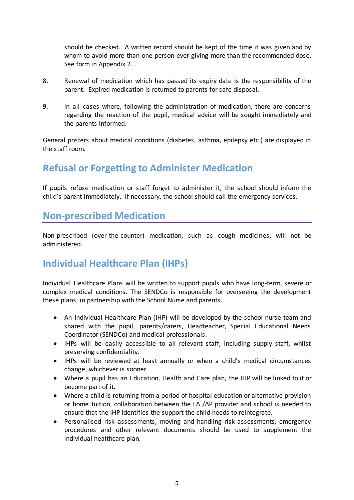should be checked. A written record should be kept of the time it was given and by whom to avoid more than one person ever giving more than the recommended dose. See form in Appendix 2.

- 8. Renewal of medication which has passed its expiry date is the responsibility of the parent. Expired medication is returned to parents for safe disposal.
- 9. In all cases where, following the administration of medication, there are concerns regarding the reaction of the pupil, medical advice will be sought immediately and the parents informed.

General posters about medical conditions (diabetes, asthma, epilepsy etc.) are displayed in the staff room.

## <span id="page-5-0"></span>**Refusal or Forgetting to Administer Medication**

If pupils refuse medication or staff forget to administer it, the school should inform the child's parent immediately. If necessary, the school should call the emergency services.

## <span id="page-5-1"></span>**Non-prescribed Medication**

Non-prescribed (over-the-counter) medication, such as cough medicines, will not be administered.

## <span id="page-5-2"></span>**Individual Healthcare Plan (IHPs)**

Individual Healthcare Plans will be written to support pupils who have long-term, severe or complex medical conditions. The SENDCo is responsible for overseeing the development these plans, in partnership with the School Nurse and parents.

- An Individual Healthcare Plan (IHP) will be developed by the school nurse team and shared with the pupil, parents/carers, Headteacher, Special Educational Needs Coordinator (SENDCo) and medical professionals.
- IHPs will be easily accessible to all relevant staff, including supply staff, whilst preserving confidentiality.
- IHPs will be reviewed at least annually or when a child's medical circumstances change, whichever is sooner.
- Where a pupil has an Education, Health and Care plan, the IHP will be linked to it or become part of it.
- Where a child is returning from a period of hospital education or alternative provision or home tuition, collaboration between the LA /AP provider and school is needed to ensure that the IHP identifies the support the child needs to reintegrate.
- Personalised risk assessments, moving and handling risk assessments, emergency procedures and other relevant documents should be used to supplement the individual healthcare plan.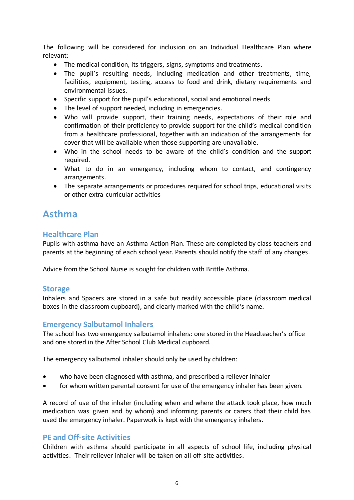The following will be considered for inclusion on an Individual Healthcare Plan where relevant:

- The medical condition, its triggers, signs, symptoms and treatments.
- The pupil's resulting needs, including medication and other treatments, time, facilities, equipment, testing, access to food and drink, dietary requirements and environmental issues.
- Specific support for the pupil's educational, social and emotional needs
- The level of support needed, including in emergencies.
- Who will provide support, their training needs, expectations of their role and confirmation of their proficiency to provide support for the child's medical condition from a healthcare professional, together with an indication of the arrangements for cover that will be available when those supporting are unavailable.
- Who in the school needs to be aware of the child's condition and the support required.
- What to do in an emergency, including whom to contact, and contingency arrangements.
- The separate arrangements or procedures required for school trips, educational visits or other extra-curricular activities

## <span id="page-6-0"></span>**Asthma**

#### **Healthcare Plan**

Pupils with asthma have an Asthma Action Plan. These are completed by class teachers and parents at the beginning of each school year. Parents should notify the staff of any changes.

Advice from the School Nurse is sought for children with Brittle Asthma.

#### **Storage**

Inhalers and Spacers are stored in a safe but readily accessible place (classroom medical boxes in the classroom cupboard), and clearly marked with the child's name.

#### **Emergency Salbutamol Inhalers**

The school has two emergency salbutamol inhalers: one stored in the Headteacher's office and one stored in the After School Club Medical cupboard.

The emergency salbutamol inhaler should only be used by children:

- who have been diagnosed with asthma, and prescribed a reliever inhaler
- for whom written parental consent for use of the emergency inhaler has been given.

A record of use of the inhaler (including when and where the attack took place, how much medication was given and by whom) and informing parents or carers that their child has used the emergency inhaler. Paperwork is kept with the emergency inhalers.

#### **PE and Off-site Activities**

Children with asthma should participate in all aspects of school life, including physical activities. Their reliever inhaler will be taken on all off-site activities.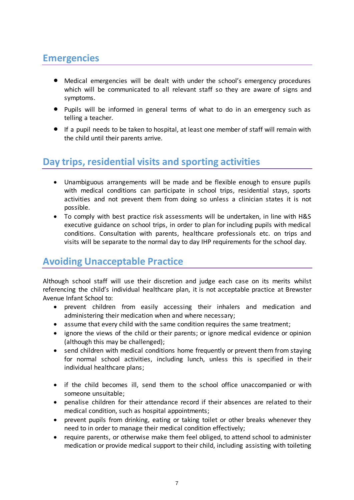## <span id="page-7-0"></span>**Emergencies**

- Medical emergencies will be dealt with under the school's emergency procedures which will be communicated to all relevant staff so they are aware of signs and symptoms.
- Pupils will be informed in general terms of what to do in an emergency such as telling a teacher.
- If a pupil needs to be taken to hospital, at least one member of staff will remain with the child until their parents arrive.

## <span id="page-7-1"></span>**Day trips, residential visits and sporting activities**

- Unambiguous arrangements will be made and be flexible enough to ensure pupils with medical conditions can participate in school trips, residential stays, sports activities and not prevent them from doing so unless a clinician states it is not possible.
- To comply with best practice risk assessments will be undertaken, in line with H&S executive guidance on school trips, in order to plan for including pupils with medical conditions. Consultation with parents, healthcare professionals etc. on trips and visits will be separate to the normal day to day IHP requirements for the school day.

## <span id="page-7-2"></span>**Avoiding Unacceptable Practice**

Although school staff will use their discretion and judge each case on its merits whilst referencing the child's individual healthcare plan, it is not acceptable practice at Brewster Avenue Infant School to:

- prevent children from easily accessing their inhalers and medication and administering their medication when and where necessary;
- assume that every child with the same condition requires the same treatment;
- ignore the views of the child or their parents; or ignore medical evidence or opinion (although this may be challenged);
- send children with medical conditions home frequently or prevent them from staying for normal school activities, including lunch, unless this is specified in their individual healthcare plans;
- if the child becomes ill, send them to the school office unaccompanied or with someone unsuitable;
- penalise children for their attendance record if their absences are related to their medical condition, such as hospital appointments;
- prevent pupils from drinking, eating or taking toilet or other breaks whenever they need to in order to manage their medical condition effectively;
- require parents, or otherwise make them feel obliged, to attend school to administer medication or provide medical support to their child, including assisting with toileting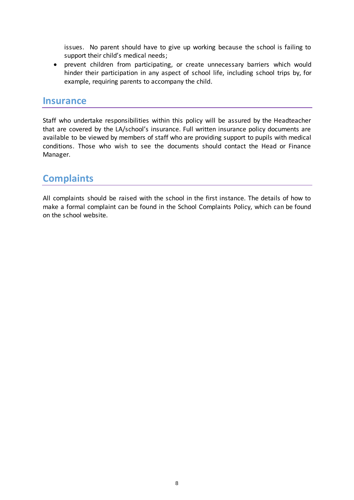issues. No parent should have to give up working because the school is failing to support their child's medical needs;

 prevent children from participating, or create unnecessary barriers which would hinder their participation in any aspect of school life, including school trips by, for example, requiring parents to accompany the child.

#### <span id="page-8-0"></span>**Insurance**

Staff who undertake responsibilities within this policy will be assured by the Headteacher that are covered by the LA/school's insurance. Full written insurance policy documents are available to be viewed by members of staff who are providing support to pupils with medical conditions. Those who wish to see the documents should contact the Head or Finance Manager.

## <span id="page-8-1"></span>**Complaints**

All complaints should be raised with the school in the first instance. The details of how to make a formal complaint can be found in the School Complaints Policy, which can be found on the school website.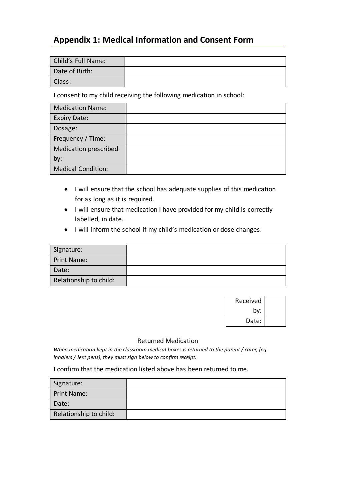### <span id="page-9-0"></span>**Appendix 1: Medical Information and Consent Form**

| Child's Full Name: |  |
|--------------------|--|
| Date of Birth:     |  |
| Class:             |  |

I consent to my child receiving the following medication in school:

| <b>Medication Name:</b>   |  |
|---------------------------|--|
| <b>Expiry Date:</b>       |  |
| Dosage:                   |  |
| Frequency / Time:         |  |
| Medication prescribed     |  |
| by:                       |  |
| <b>Medical Condition:</b> |  |

- I will ensure that the school has adequate supplies of this medication for as long as it is required.
- I will ensure that medication I have provided for my child is correctly labelled, in date.
- $\bullet$  I will inform the school if my child's medication or dose changes.

| Signature:             |  |
|------------------------|--|
| Print Name:            |  |
| Date:                  |  |
| Relationship to child: |  |

| Received |  |
|----------|--|
| by:      |  |
| Date:    |  |

#### Returned Medication

*When medication kept in the classroom medical boxes is returned to the parent / carer, (eg. inhalers / Jext pens), they must sign below to confirm receipt.*

I confirm that the medication listed above has been returned to me.

| Signature:             |  |
|------------------------|--|
| Print Name:            |  |
| Date:                  |  |
| Relationship to child: |  |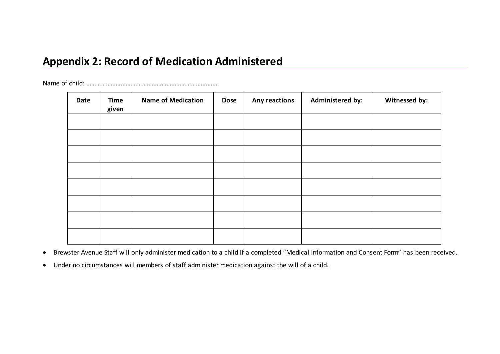## **Appendix 2: Record of Medication Administered**

Name of child: ………………….…………………………………………….…….

| Date | <b>Time</b><br>given | <b>Name of Medication</b> | <b>Dose</b> | Any reactions | Administered by: | Witnessed by: |
|------|----------------------|---------------------------|-------------|---------------|------------------|---------------|
|      |                      |                           |             |               |                  |               |
|      |                      |                           |             |               |                  |               |
|      |                      |                           |             |               |                  |               |
|      |                      |                           |             |               |                  |               |
|      |                      |                           |             |               |                  |               |
|      |                      |                           |             |               |                  |               |
|      |                      |                           |             |               |                  |               |
|      |                      |                           |             |               |                  |               |

<span id="page-10-0"></span>Brewster Avenue Staff will only administer medication to a child if a completed "Medical Information and Consent Form" has been received.

Under no circumstances will members of staff administer medication against the will of a child.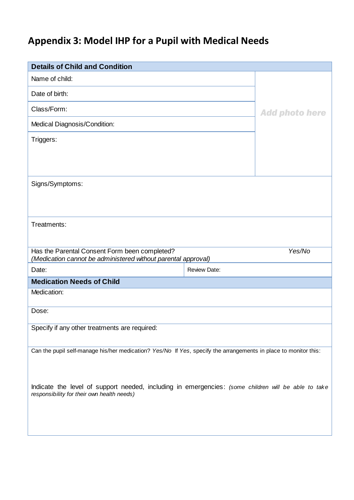## <span id="page-11-0"></span>**Appendix 3: Model IHP for a Pupil with Medical Needs**

| <b>Details of Child and Condition</b>                                                                                                             |                     |                       |
|---------------------------------------------------------------------------------------------------------------------------------------------------|---------------------|-----------------------|
| Name of child:                                                                                                                                    |                     |                       |
| Date of birth:                                                                                                                                    |                     |                       |
| Class/Form:                                                                                                                                       |                     | <b>Add photo here</b> |
| Medical Diagnosis/Condition:                                                                                                                      |                     |                       |
| Triggers:                                                                                                                                         |                     |                       |
|                                                                                                                                                   |                     |                       |
|                                                                                                                                                   |                     |                       |
| Signs/Symptoms:                                                                                                                                   |                     |                       |
|                                                                                                                                                   |                     |                       |
|                                                                                                                                                   |                     |                       |
| Treatments:                                                                                                                                       |                     |                       |
|                                                                                                                                                   |                     |                       |
|                                                                                                                                                   |                     |                       |
| Has the Parental Consent Form been completed?                                                                                                     |                     | Yes/No                |
| (Medication cannot be administered without parental approval)<br>Date:                                                                            | <b>Review Date:</b> |                       |
| <b>Medication Needs of Child</b>                                                                                                                  |                     |                       |
| Medication:                                                                                                                                       |                     |                       |
| Dose:                                                                                                                                             |                     |                       |
| Specify if any other treatments are required:                                                                                                     |                     |                       |
|                                                                                                                                                   |                     |                       |
| Can the pupil self-manage his/her medication? Yes/No If Yes, specify the arrangements in place to monitor this:                                   |                     |                       |
|                                                                                                                                                   |                     |                       |
|                                                                                                                                                   |                     |                       |
| Indicate the level of support needed, including in emergencies: (some children will be able to take<br>responsibility for their own health needs) |                     |                       |
|                                                                                                                                                   |                     |                       |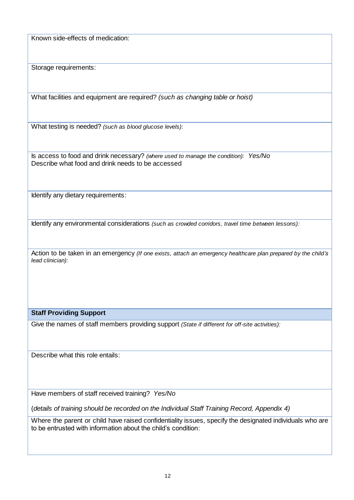Known side-effects of medication:

Storage requirements:

What facilities and equipment are required? *(such as changing table or hoist)*

What testing is needed? *(such as blood glucose levels):*

Is access to food and drink necessary? *(where used to manage the condition): Yes/No* Describe what food and drink needs to be accessed

Identify any dietary requirements:

Identify any environmental considerations *(such as crowded corridors, travel time between lessons):*

Action to be taken in an emergency *(If one exists, attach an emergency healthcare plan prepared by the child's lead clinician):*

#### **Staff Providing Support**

Give the names of staff members providing support *(State if different for off-site activities):*

Describe what this role entails:

Have members of staff received training? *Yes/No*

(*details of training should be recorded on the Individual Staff Training Record, Appendix 4)*

Where the parent or child have raised confidentiality issues, specify the designated individuals who are to be entrusted with information about the child's condition: